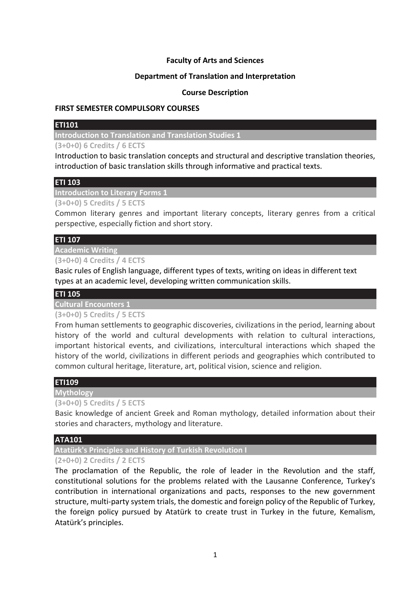## **Faculty of Arts and Sciences**

## **Department of Translation and Interpretation**

## **Course Description**

#### **FIRST SEMESTER COMPULSORY COURSES**

## **ETI101**

**Introduction to Translation and Translation Studies 1**

**(3+0+0) 6 Credits / 6 ECTS**

Introduction to basic translation concepts and structural and descriptive translation theories, introduction of basic translation skills through informative and practical texts.

## **ETI 103**

**Introduction to Literary Forms 1**

**(3+0+0) 5 Credits / 5 ECTS**

Common literary genres and important literary concepts, literary genres from a critical perspective, especially fiction and short story.

## **ETI 107**

#### **Academic Writing**

**(3+0+0) 4 Credits / 4 ECTS**

Basic rules of English language, different types of texts, writing on ideas in different text types at an academic level, developing written communication skills.

# **ETI 105**

# **Cultural Encounters 1**

# **(3+0+0) 5 Credits / 5 ECTS**

From human settlements to geographic discoveries, civilizations in the period, learning about history of the world and cultural developments with relation to cultural interactions, important historical events, and civilizations, intercultural interactions which shaped the history of the world, civilizations in different periods and geographies which contributed to common cultural heritage, literature, art, political vision, science and religion.

## **ETI109**

**Mythology**

## **(3+0+0) 5 Credits / 5 ECTS**

Basic knowledge of ancient Greek and Roman mythology, detailed information about their stories and characters, mythology and literature.

## **ATA101**

**Atatürk's Principles and History of Turkish Revolution I**

## **(2+0+0) 2 Credits / 2 ECTS**

The proclamation of the Republic, the role of leader in the Revolution and the staff, constitutional solutions for the problems related with the Lausanne Conference, Turkey's contribution in international organizations and pacts, responses to the new government structure, multi-party system trials, the domestic and foreign policy of the Republic of Turkey, the foreign policy pursued by Atatürk to create trust in Turkey in the future, Kemalism, Atatürk's principles.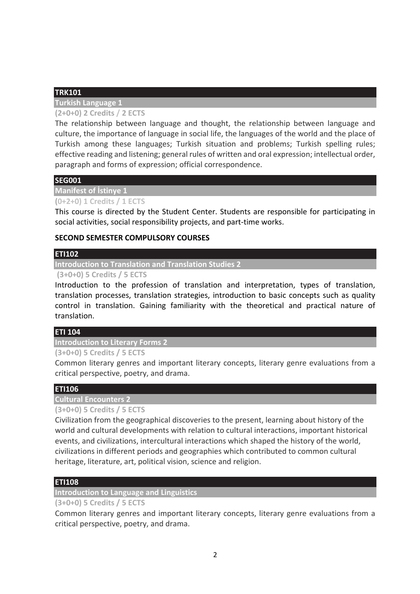# **TRK101**

**Turkish Language 1**

# **(2+0+0) 2 Credits / 2 ECTS**

The relationship between language and thought, the relationship between language and culture, the importance of language in social life, the languages of the world and the place of Turkish among these languages; Turkish situation and problems; Turkish spelling rules; effective reading and listening; general rules of written and oral expression; intellectual order, paragraph and forms of expression; official correspondence.

## **SEG001**

## **Manifest of İstinye 1**

# **(0+2+0) 1 Credits / 1 ECTS**

This course is directed by the Student Center. Students are responsible for participating in social activities, social responsibility projects, and part-time works.

## **SECOND SEMESTER COMPULSORY COURSES**

## **ETI102**

## **Introduction to Translation and Translation Studies 2**

## **(3+0+0) 5 Credits / 5 ECTS**

Introduction to the profession of translation and interpretation, types of translation, translation processes, translation strategies, introduction to basic concepts such as quality control in translation. Gaining familiarity with the theoretical and practical nature of translation.

## **ETI 104**

## **Introduction to Literary Forms 2**

## **(3+0+0) 5 Credits / 5 ECTS**

Common literary genres and important literary concepts, literary genre evaluations from a critical perspective, poetry, and drama.

# **ETI106**

# **Cultural Encounters 2**

# **(3+0+0) 5 Credits / 5 ECTS**

Civilization from the geographical discoveries to the present, learning about history of the world and cultural developments with relation to cultural interactions, important historical events, and civilizations, intercultural interactions which shaped the history of the world, civilizations in different periods and geographies which contributed to common cultural heritage, literature, art, political vision, science and religion.

# **ETI108**

## **Introduction to Language and Linguistics**

## **(3+0+0) 5 Credits / 5 ECTS**

Common literary genres and important literary concepts, literary genre evaluations from a critical perspective, poetry, and drama.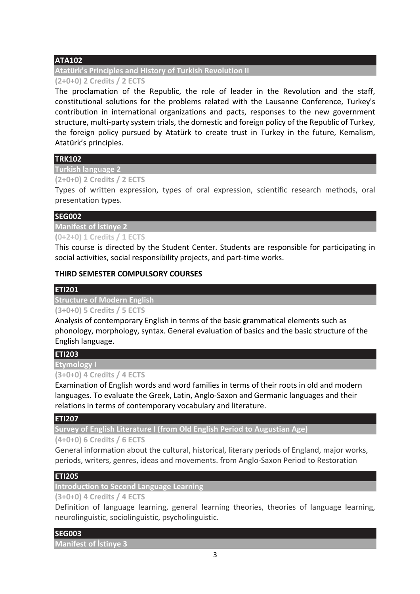# **ATA102**

# **Atatürk's Principles and History of Turkish Revolution II**

## **(2+0+0) 2 Credits / 2 ECTS**

The proclamation of the Republic, the role of leader in the Revolution and the staff, constitutional solutions for the problems related with the Lausanne Conference, Turkey's contribution in international organizations and pacts, responses to the new government structure, multi-party system trials, the domestic and foreign policy of the Republic of Turkey, the foreign policy pursued by Atatürk to create trust in Turkey in the future, Kemalism, Atatürk's principles.

# **TRK102**

**Turkish language 2**

## **(2+0+0) 2 Credits / 2 ECTS**

Types of written expression, types of oral expression, scientific research methods, oral presentation types.

## **SEG002**

# **Manifest of İstinye 2**

# **(0+2+0) 1 Credits / 1 ECTS**

This course is directed by the Student Center. Students are responsible for participating in social activities, social responsibility projects, and part-time works.

# **THIRD SEMESTER COMPULSORY COURSES**

# **ETI201**

**Structure of Modern English**

# **(3+0+0) 5 Credits / 5 ECTS**

Analysis of contemporary English in terms of the basic grammatical elements such as phonology, morphology, syntax. General evaluation of basics and the basic structure of the English language.

# **ETI203**

**Etymology I**

## **(3+0+0) 4 Credits / 4 ECTS**

Examination of English words and word families in terms of their roots in old and modern languages. To evaluate the Greek, Latin, Anglo-Saxon and Germanic languages and their relations in terms of contemporary vocabulary and literature.

## **ETI207**

**Survey of English Literature I (from Old English Period to Augustian Age)**

**(4+0+0) 6 Credits / 6 ECTS**

General information about the cultural, historical, literary periods of England, major works, periods, writers, genres, ideas and movements. from Anglo-Saxon Period to Restoration

# **ETI205**

**Introduction to Second Language Learning**

## **(3+0+0) 4 Credits / 4 ECTS**

Definition of language learning, general learning theories, theories of language learning, neurolinguistic, sociolinguistic, psycholinguistic.

# **SEG003**

**Manifest of İstinye 3**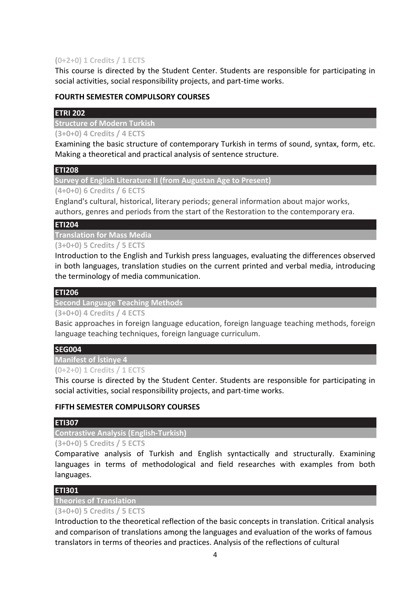# **(0+2+0) 1 Credits / 1 ECTS**

This course is directed by the Student Center. Students are responsible for participating in social activities, social responsibility projects, and part-time works.

## **FOURTH SEMESTER COMPULSORY COURSES**

# **ETRI 202**

**Structure of Modern Turkish**

**(3+0+0) 4 Credits / 4 ECTS**

Examining the basic structure of contemporary Turkish in terms of sound, syntax, form, etc. Making a theoretical and practical analysis of sentence structure.

# **ETI208**

**Survey of English Literature II (from Augustan Age to Present)**

**(4+0+0) 6 Credits / 6 ECTS**

England's cultural, historical, literary periods; general information about major works, authors, genres and periods from the start of the Restoration to the contemporary era.

## **ETI204**

**Translation for Mass Media**

**(3+0+0) 5 Credits / 5 ECTS**

Introduction to the English and Turkish press languages, evaluating the differences observed in both languages, translation studies on the current printed and verbal media, introducing the terminology of media communication.

# **ETI206**

**Second Language Teaching Methods**

**(3+0+0) 4 Credits / 4 ECTS**

Basic approaches in foreign language education, foreign language teaching methods, foreign language teaching techniques, foreign language curriculum.

## **SEG004**

**Manifest of İstinye 4**

**(0+2+0) 1 Credits / 1 ECTS**

This course is directed by the Student Center. Students are responsible for participating in social activities, social responsibility projects, and part-time works.

# **FIFTH SEMESTER COMPULSORY COURSES**

## **ETI307**

**Contrastive Analysis (English-Turkish)**

**(3+0+0) 5 Credits / 5 ECTS**

Comparative analysis of Turkish and English syntactically and structurally. Examining languages in terms of methodological and field researches with examples from both languages.

# **ETI301**

**Theories of Translation**

## **(3+0+0) 5 Credits / 5 ECTS**

Introduction to the theoretical reflection of the basic concepts in translation. Critical analysis and comparison of translations among the languages and evaluation of the works of famous translators in terms of theories and practices. Analysis of the reflections of cultural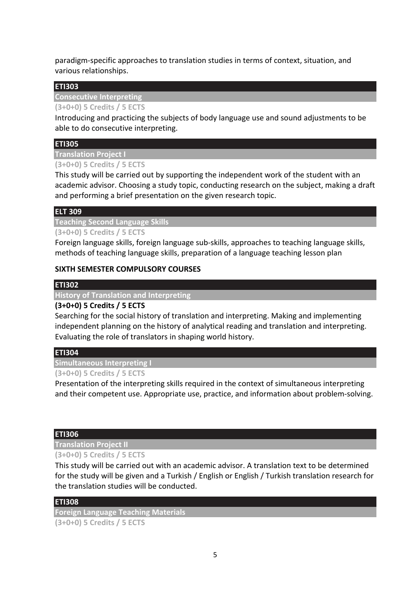paradigm-specific approaches to translation studies in terms of context, situation, and various relationships.

## **ETI303**

**Consecutive Interpreting**

## **(3+0+0) 5 Credits / 5 ECTS**

Introducing and practicing the subjects of body language use and sound adjustments to be able to do consecutive interpreting.

## **ETI305**

**Translation Project I**

## **(3+0+0) 5 Credits / 5 ECTS**

This study will be carried out by supporting the independent work of the student with an academic advisor. Choosing a study topic, conducting research on the subject, making a draft and performing a brief presentation on the given research topic.

## **ELT 309**

**Teaching Second Language Skills**

**(3+0+0) 5 Credits / 5 ECTS**

Foreign language skills, foreign language sub-skills, approaches to teaching language skills, methods of teaching language skills, preparation of a language teaching lesson plan

## **SIXTH SEMESTER COMPULSORY COURSES**

## **ETI302**

**History of Translation and Interpreting**

## **(3+0+0) 5 Credits / 5 ECTS**

Searching for the social history of translation and interpreting. Making and implementing independent planning on the history of analytical reading and translation and interpreting. Evaluating the role of translators in shaping world history.

## **ETI304**

**Simultaneous Interpreting I**

## **(3+0+0) 5 Credits / 5 ECTS**

Presentation of the interpreting skills required in the context of simultaneous interpreting and their competent use. Appropriate use, practice, and information about problem-solving.

## **ETI306**

# **Translation Project II**

## **(3+0+0) 5 Credits / 5 ECTS**

This study will be carried out with an academic advisor. A translation text to be determined for the study will be given and a Turkish / English or English / Turkish translation research for the translation studies will be conducted.

## **ETI308**

**Foreign Language Teaching Materials (3+0+0) 5 Credits / 5 ECTS**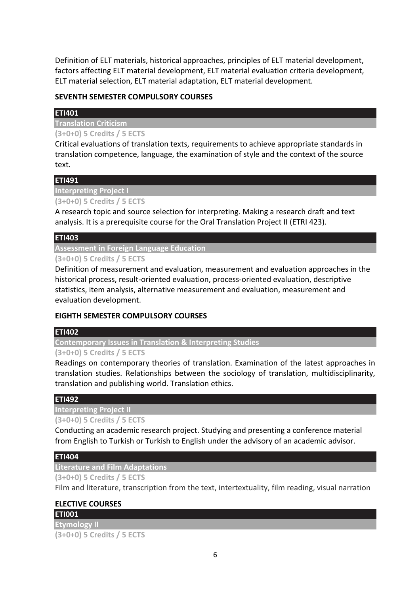Definition of ELT materials, historical approaches, principles of ELT material development, factors affecting ELT material development, ELT material evaluation criteria development, ELT material selection, ELT material adaptation, ELT material development.

# **SEVENTH SEMESTER COMPULSORY COURSES**

# **ETI401**

**Translation Criticism**

**(3+0+0) 5 Credits / 5 ECTS**

Critical evaluations of translation texts, requirements to achieve appropriate standards in translation competence, language, the examination of style and the context of the source text.

# **ETI491**

**Interpreting Project I**

**(3+0+0) 5 Credits / 5 ECTS**

A research topic and source selection for interpreting. Making a research draft and text analysis. It is a prerequisite course for the Oral Translation Project II (ETRI 423).

# **ETI403**

**Assessment in Foreign Language Education**

**(3+0+0) 5 Credits / 5 ECTS**

Definition of measurement and evaluation, measurement and evaluation approaches in the historical process, result-oriented evaluation, process-oriented evaluation, descriptive statistics, item analysis, alternative measurement and evaluation, measurement and evaluation development.

# **EIGHTH SEMESTER COMPULSORY COURSES**

## **ETI402**

**Contemporary Issues in Translation & Interpreting Studies**

## **(3+0+0) 5 Credits / 5 ECTS**

Readings on contemporary theories of translation. Examination of the latest approaches in translation studies. Relationships between the sociology of translation, multidisciplinarity, translation and publishing world. Translation ethics.

# **ETI492**

**Interpreting Project II (3+0+0) 5 Credits / 5 ECTS**

Conducting an academic research project. Studying and presenting a conference material from English to Turkish or Turkish to English under the advisory of an academic advisor.

# **ETI404**

**Literature and Film Adaptations**

**(3+0+0) 5 Credits / 5 ECTS**

Film and literature, transcription from the text, intertextuality, film reading, visual narration

# **ELECTIVE COURSES**

**ETI001**

**Etymology II (3+0+0) 5 Credits / 5 ECTS**